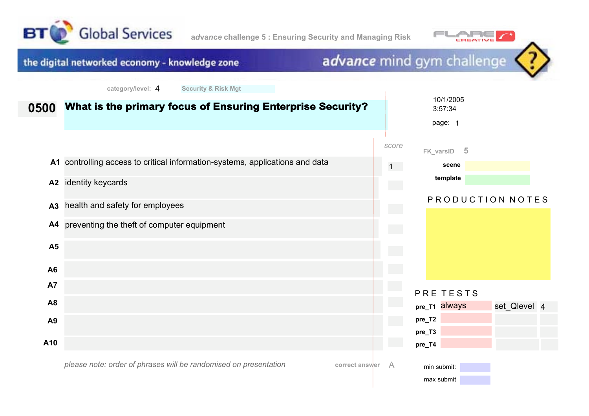



#### advance mind gym challenge the digital networked economy - knowledge zone **category/level:** 4 **Security & Risk Mgt** 10/1/2005 **What is the primary focus of Ensuring Enterprise Security? 0500** 3:57:34 page: 1 *score* **FK\_varsID 5 A1** controlling access to critical information-systems, applications and data **scene** 1 **template A2** identity keycards P R O D U C T I O N N O T E S health and safety for employees **A3 A4** preventing the theft of computer equipment **A5 A6 A7** PRE TESTS **A8 pre\_T1** always set Qlevel 4 **pre\_T2 A9 pre\_T3 A10 pre\_T4** min submit:

*please note: order of phrases will be randomised on presentation*

**correct answer** A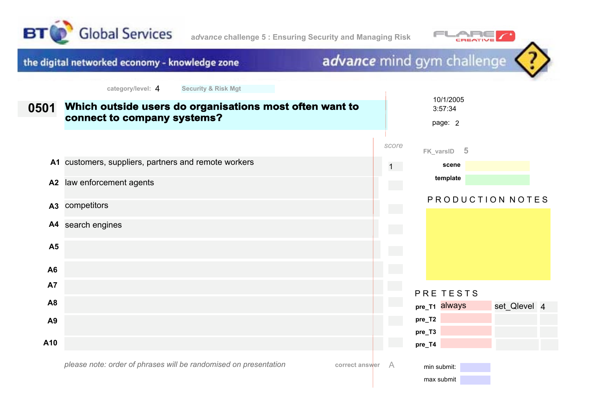



advance mind gym challenge the digital networked economy - knowledge zone **category/level:** 4 **Security & Risk Mgt** 10/1/2005 **Which outside users do organisations most often want to 0501** 3:57:34 **connect to company systems?** page: 2 *score* **FK\_varsID 5 A1** customers, suppliers, partners and remote workers 1 **scene template A2** law enforcement agents P R O D U C T I O N N O T E S **A3** competitors **A4** search engines **A5 A6 A7** PRE TESTS **A8 pre\_T1** always set Qlevel 4 **pre\_T2 A9 pre\_T3 A10 pre\_T4** min submit:

*please note: order of phrases will be randomised on presentation*

**correct answer** A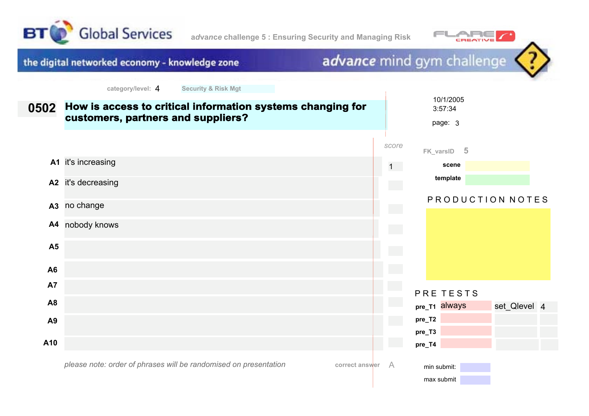



advance mind gym challenge the digital networked economy - knowledge zone **category/level:** 4 **Security & Risk Mgt** 10/1/2005 **How is access to critical information systems changing for 0502** 3:57:34 **customers, partners and suppliers?** page: 3 *score* **FK\_varsID 5 A1** it's increasing 1 **scene template A2** it's decreasing P R O D U C T I O N N O T E S **A3** no change **A4** nobody knows **A5 A6 A7** PRE TESTS **A8 pre\_T1** always set Qlevel 4 **pre\_T2 A9 pre\_T3 A10 pre\_T4** *please note: order of phrases will be randomised on presentation***correct answer** A min submit: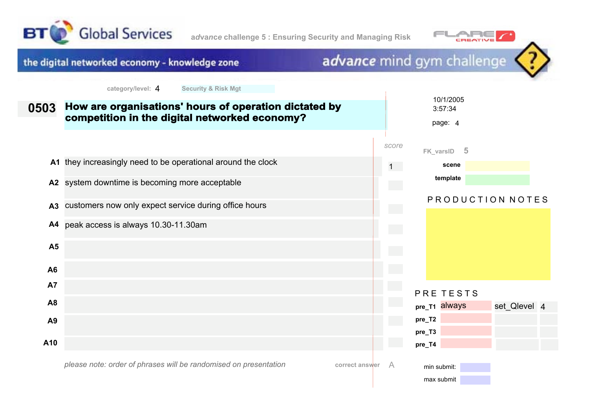



### the digital networked economy - knowledge zone

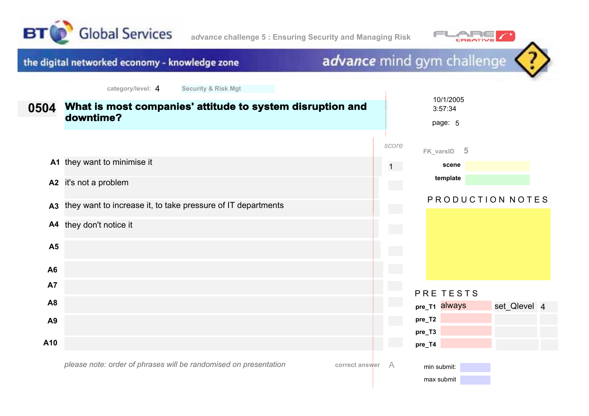



#### advance mind gym challenge the digital networked economy - knowledge zone **category/level:** 4 **Security & Risk Mgt** 10/1/2005 **What is most companies' attitude to system disruption and 0504** 3:57:34 **downtime?** page: 5 *score* **FK\_varsID 5 A1** they want to minimise it 1 **scene template A2** it's not a problem P R O D U C T I O N N O T E S **A3** they want to increase it, to take pressure of IT departments **A4** they don't notice it **A5 A6 A7** PRE TESTS **A8 pre\_T1** always set Qlevel 4 **pre\_T2 A9 pre\_T3 A10 pre\_T4**

*please note: order of phrases will be randomised on presentation*

**correct answer** A

min submit: max submit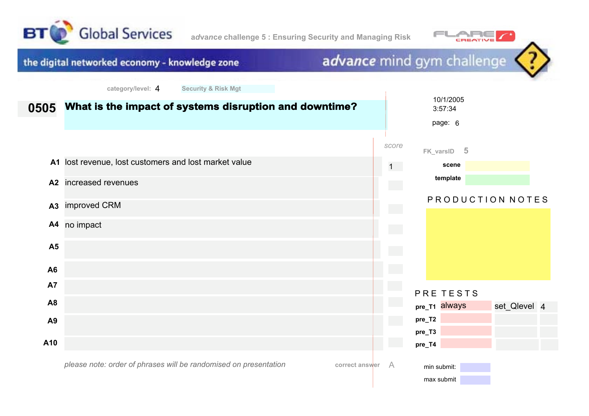



#### advance mind gym challenge the digital networked economy - knowledge zone **category/level:** 4 **Security & Risk Mgt** 10/1/2005 **What is the impact of systems disruption and downtime? 0505** 3:57:34 page: 6 *score* **FK\_varsID 5 A1** lost revenue, lost customers and lost market value 1 **scene template A2** increased revenues PRODUCTION NOTES **A3** improved CRM **A4** no impact **A5 A6 A7** PRE TESTS **A8 pre\_T1** always set Qlevel 4 **pre\_T2 A9 pre\_T3 A10 pre\_T4** *please note: order of phrases will be randomised on presentation***correct answer** A min submit: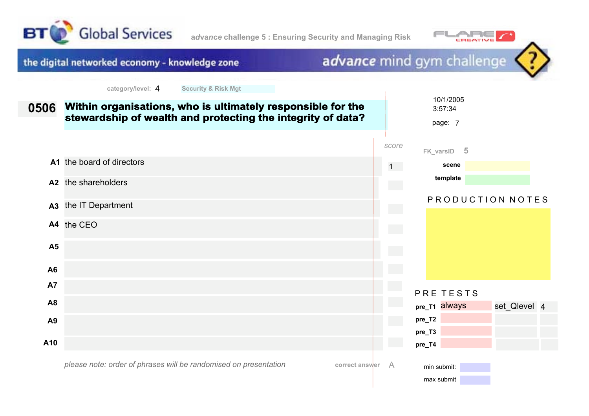



# advance mind gym challenge

| 0506           | Within organisations, who is ultimately responsible for the<br>stewardship of wealth and protecting the integrity of data? |                            |                           | 10/1/2005<br>3:57:34<br>page: 7 |                  |  |
|----------------|----------------------------------------------------------------------------------------------------------------------------|----------------------------|---------------------------|---------------------------------|------------------|--|
|                |                                                                                                                            | score                      |                           | FK_varsID 5                     |                  |  |
|                | A1 the board of directors                                                                                                  | $1 -$                      |                           | scene                           |                  |  |
|                | A2 the shareholders                                                                                                        |                            |                           | template                        |                  |  |
| A <sub>3</sub> | the IT Department                                                                                                          |                            |                           |                                 | PRODUCTION NOTES |  |
|                | A4 the CEO                                                                                                                 | $\mathcal{L}^{\text{max}}$ |                           |                                 |                  |  |
| <b>A5</b>      |                                                                                                                            |                            |                           |                                 |                  |  |
| A6             |                                                                                                                            |                            |                           |                                 |                  |  |
| <b>A7</b>      |                                                                                                                            |                            |                           | PRE TESTS                       |                  |  |
| A <sub>8</sub> |                                                                                                                            |                            | pre_T1 always             |                                 | set_Qlevel 4     |  |
| A <sub>9</sub> |                                                                                                                            |                            | pre_T2                    |                                 |                  |  |
| A10            |                                                                                                                            |                            | pre_T3<br>pre_T4          |                                 |                  |  |
|                | please note: order of phrases will be randomised on presentation<br>correct answer                                         | A                          | min submit:<br>max submit |                                 |                  |  |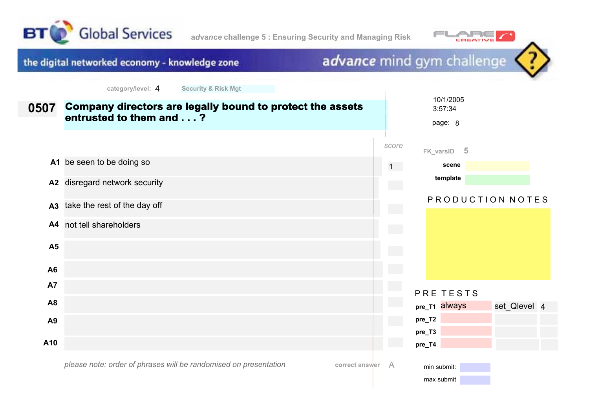



# advance mind gym challenge

| 0507           | Company directors are legally bound to protect the assets<br>entrusted to them and ? |                | 10/1/2005<br>3:57:34<br>page: 8 |
|----------------|--------------------------------------------------------------------------------------|----------------|---------------------------------|
|                |                                                                                      | score          | FK_varsID 5                     |
|                | A1 be seen to be doing so                                                            | $1 -$          | scene                           |
| A2             | disregard network security                                                           |                | template                        |
| A <sub>3</sub> | take the rest of the day off                                                         |                | PRODUCTION NOTES                |
|                | A4 not tell shareholders                                                             |                |                                 |
| <b>A5</b>      |                                                                                      | $\mathbb{R}^2$ |                                 |
| A6             |                                                                                      |                |                                 |
| A7             |                                                                                      |                | PRE TESTS                       |
| A <sub>8</sub> |                                                                                      |                | pre_T1 always<br>set_Qlevel 4   |
| A <sub>9</sub> |                                                                                      |                | pre_T2                          |
| A10            |                                                                                      |                | pre_T3<br>pre_T4                |
|                | please note: order of phrases will be randomised on presentation<br>correct answer   | A              | min submit:<br>max submit       |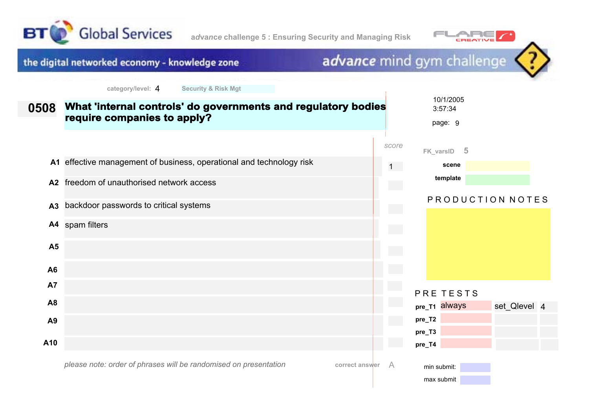



#### advance mind gym challenge the digital networked economy - knowledge zone **category/level:** 4 **Security & Risk Mgt** 10/1/2005 **What 'internal controls' do governments and regulatory bodies 0508** 3:57:34 **require companies to apply?** page: 9 *score* **FK\_varsID 5 A1** effective management of business, operational and technology risk **scene** 1 **template A2** freedom of unauthorised network access PRODUCTION NOTES backdoor passwords to critical systems **A3 A4** spam filters **A5 A6 A7** PRE TESTS **A8 pre\_T1** always set Qlevel 4 **pre\_T2 A9 pre\_T3 A10 pre\_T4**

*please note: order of phrases will be randomised on presentation*

**correct answer** A

min submit: max submit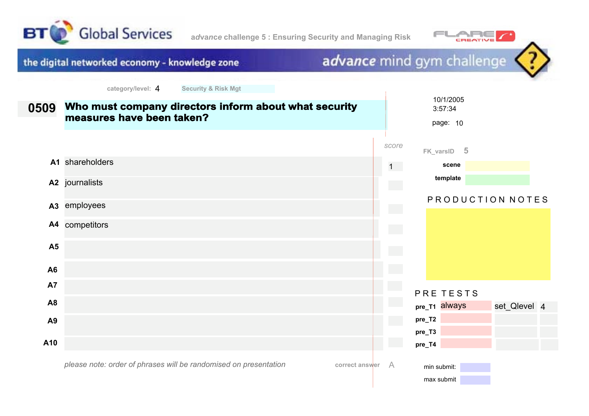





*please note: order of phrases will be randomised on presentation*

**correct answer** A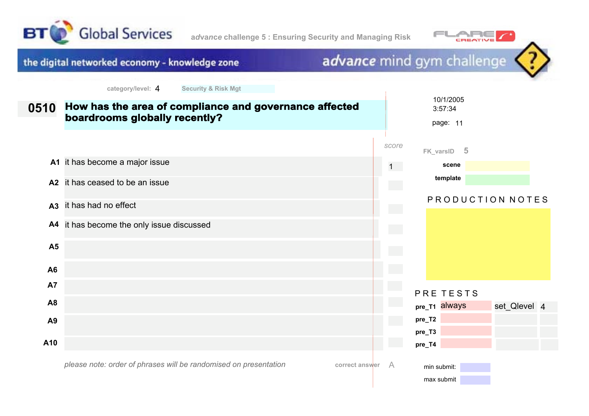



advance mind gym challenge the digital networked economy - knowledge zone **category/level:** 4 **Security & Risk Mgt** 10/1/2005 **How has the area of compliance and governance affected 0510** 3:57:34 **boardrooms globally recently?** page: 11 *score* **FK\_varsID 5 A1** it has become a major issue 1 **scene template A2** it has ceased to be an issue PRODUCTION NOTES **A3** it has had no effect **A4** it has become the only issue discussed **A5 A6 A7** PRE TESTS **A8 pre\_T1** always **pre\_T2 A9 pre\_T3 A10 pre\_T4**

*please note: order of phrases will be randomised on presentation*

| correct answer |  |
|----------------|--|
|----------------|--|

min submit: max submit set Qlevel 4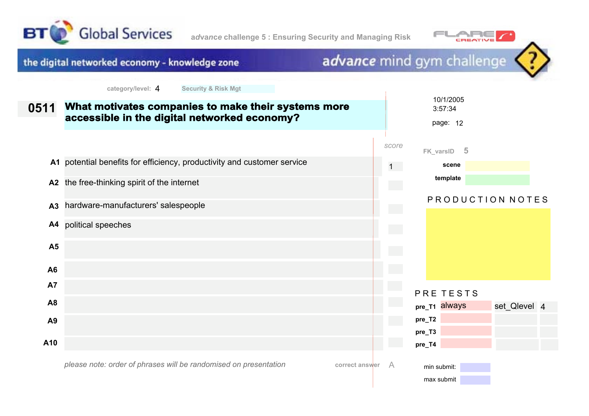





| 0511           | What motivates companies to make their systems more<br>accessible in the digital networked economy? |           | 10/1/2005<br>3:57:34<br>page: 12 |              |  |
|----------------|-----------------------------------------------------------------------------------------------------|-----------|----------------------------------|--------------|--|
|                |                                                                                                     | score     | $-5$<br>FK_varsID                |              |  |
|                | A1 potential benefits for efficiency, productivity and customer service                             | $1 \quad$ | scene                            |              |  |
| A <sub>2</sub> | the free-thinking spirit of the internet                                                            |           | template                         |              |  |
| A <sub>3</sub> | hardware-manufacturers' salespeople                                                                 |           | PRODUCTION NOTES                 |              |  |
| A4             | political speeches                                                                                  |           |                                  |              |  |
| <b>A5</b>      |                                                                                                     |           |                                  |              |  |
| A <sub>6</sub> |                                                                                                     |           |                                  |              |  |
| A7             |                                                                                                     |           | PRE TESTS                        |              |  |
| A <sub>8</sub> |                                                                                                     |           | pre_T1 always                    | set_Qlevel 4 |  |
| A <sub>9</sub> |                                                                                                     |           | pre_T2                           |              |  |
| A10            |                                                                                                     |           | pre_T3<br>pre_T4                 |              |  |
|                | please note: order of phrases will be randomised on presentation<br>correct answer                  | A         | min submit:<br>max submit        |              |  |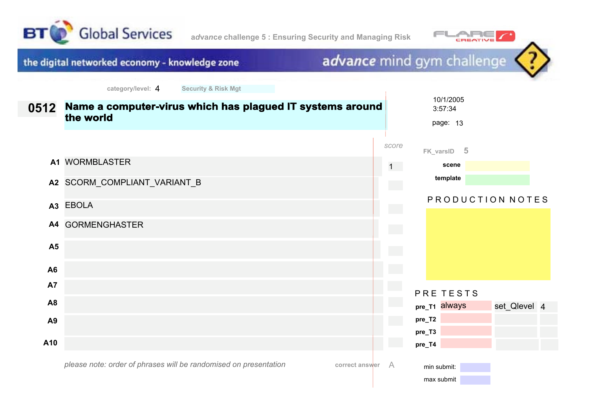



# advance mind gym challenge

 $\overline{\phantom{a}}$ 

| 0512           | Name a computer-virus which has plagued IT systems around<br>the world             |                            | 10/1/2005<br>3:57:34<br>page: 13 |                  |  |
|----------------|------------------------------------------------------------------------------------|----------------------------|----------------------------------|------------------|--|
|                |                                                                                    | score                      | FK_varsID 5                      |                  |  |
|                | A1 WORMBLASTER                                                                     | $1 -$                      | scene                            |                  |  |
|                | A2 SCORM_COMPLIANT_VARIANT_B                                                       | $\mathcal{L}^{\text{max}}$ | template                         |                  |  |
|                | A3 EBOLA                                                                           | <b>College</b>             |                                  | PRODUCTION NOTES |  |
|                | A4 GORMENGHASTER                                                                   | $\mathcal{L}^{\text{max}}$ |                                  |                  |  |
| A <sub>5</sub> |                                                                                    |                            |                                  |                  |  |
| A <sub>6</sub> |                                                                                    |                            |                                  |                  |  |
| <b>A7</b>      |                                                                                    |                            | PRE TESTS                        |                  |  |
| A <sub>8</sub> |                                                                                    |                            | pre_T1 always                    | set_Qlevel 4     |  |
| A9             |                                                                                    |                            | pre_T2                           |                  |  |
| A10            |                                                                                    |                            | pre_T3<br>pre_T4                 |                  |  |
|                | please note: order of phrases will be randomised on presentation<br>correct answer | A                          | min submit:<br>max submit        |                  |  |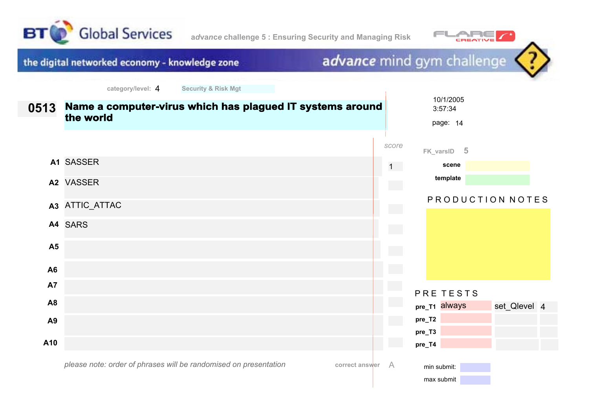



# advance mind gym challenge

 $\overline{\phantom{a}}$ 

| 0513           | Name a computer-virus which has plagued IT systems around<br>the world             |                            | 10/1/2005<br>3:57:34<br>page: 14 |                  |  |
|----------------|------------------------------------------------------------------------------------|----------------------------|----------------------------------|------------------|--|
|                |                                                                                    | score                      | FK_varsID 5                      |                  |  |
|                | A1 SASSER                                                                          | 1                          | scene                            |                  |  |
|                | A2 VASSER                                                                          | $\mathcal{L}^{\text{max}}$ | template                         |                  |  |
|                | A3 ATTIC_ATTAC                                                                     | $\sim$                     |                                  | PRODUCTION NOTES |  |
|                | A4 SARS                                                                            | $\mathcal{L}^{\text{max}}$ |                                  |                  |  |
| A <sub>5</sub> |                                                                                    |                            |                                  |                  |  |
| A <sub>6</sub> |                                                                                    |                            |                                  |                  |  |
| <b>A7</b>      |                                                                                    |                            | PRE TESTS                        |                  |  |
| A <sub>8</sub> |                                                                                    |                            | pre_T1 always                    | set_Qlevel 4     |  |
| A <sub>9</sub> |                                                                                    |                            | pre_T2                           |                  |  |
| A10            |                                                                                    |                            | pre_T3<br>pre_T4                 |                  |  |
|                | please note: order of phrases will be randomised on presentation<br>correct answer | A                          | min submit:<br>max submit        |                  |  |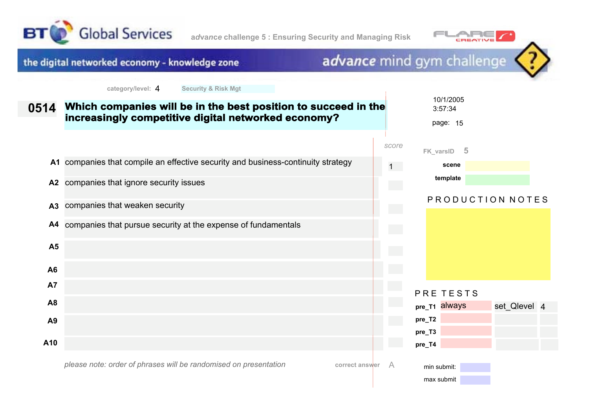



# advance mind gym challenge

 $\overline{\phantom{a}}$ 

| 0514           | Which companies will be in the best position to succeed in the<br>increasingly competitive digital networked economy? |           | 10/1/2005<br>3:57:34<br>page: 15 |                  |
|----------------|-----------------------------------------------------------------------------------------------------------------------|-----------|----------------------------------|------------------|
|                |                                                                                                                       | score     | - 5<br>FK_varsID                 |                  |
|                | A1 companies that compile an effective security and business-continuity strategy                                      | $1 \quad$ | scene                            |                  |
|                | A2 companies that ignore security issues                                                                              |           | template                         |                  |
| A3             | companies that weaken security                                                                                        |           |                                  | PRODUCTION NOTES |
| A4             | companies that pursue security at the expense of fundamentals                                                         |           |                                  |                  |
| A <sub>5</sub> |                                                                                                                       |           |                                  |                  |
| A6             |                                                                                                                       |           |                                  |                  |
| A7             |                                                                                                                       |           | PRE TESTS                        |                  |
| A <sub>8</sub> |                                                                                                                       |           | pre_T1 always                    | set_Qlevel 4     |
| A <sub>9</sub> |                                                                                                                       |           | pre_T2                           |                  |
|                |                                                                                                                       |           | pre_T3                           |                  |
| A10            |                                                                                                                       |           | pre_T4                           |                  |
|                | please note: order of phrases will be randomised on presentation<br>correct answer                                    | A         | min submit:<br>max submit        |                  |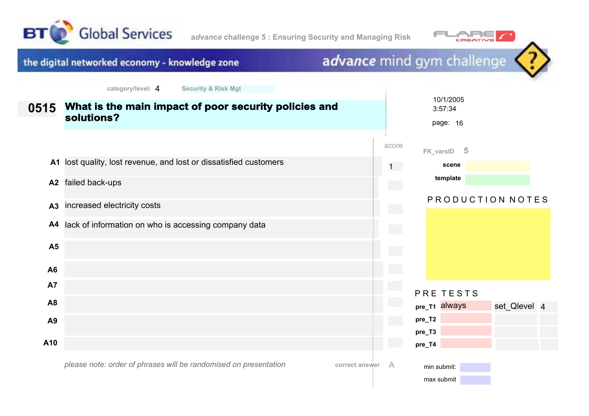



#### advance mind gym challenge the digital networked economy - knowledge zone **category/level:** 4 **Security & Risk Mgt** 10/1/2005 **What is the main impact of poor security policies and 0515** 3:57:34 **solutions?** page: 16 *score* **FK\_varsID 5 A1** lost quality, lost revenue, and lost or dissatisfied customers **scene** 1 **template A2** failed back-ups PRODUCTION NOTES increased electricity costs **A3 A4** lack of information on who is accessing company data **A5 A6 A7** PRE TESTS **A8 pre\_T1** always set Qlevel 4 **pre\_T2 A9 pre\_T3 A10 pre\_T4 correct answer** A min submit:

*please note: order of phrases will be randomised on presentation*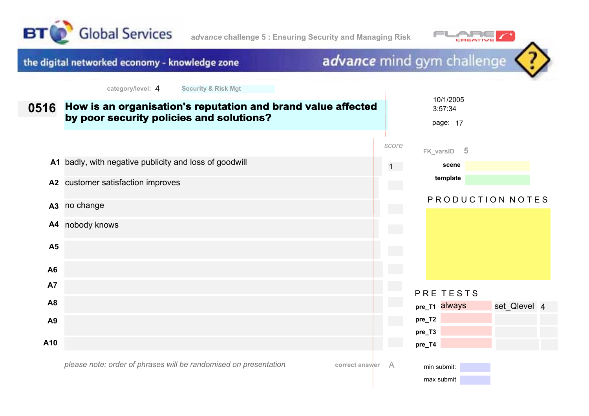



#### advance mind gym challenge the digital networked economy - knowledge zone **category/level:** 4 **Security & Risk Mgt** 10/1/2005 **How is an organisation's reputation and brand value affected 0516** 3:57:34 **by poor security policies and solutions?** page: 17 *score* **FK\_varsID 5 A1** badly, with negative publicity and loss of goodwill **scene** 1 **template A2** customer satisfaction improves PRODUCTION NOTES **A3** no change **A4** nobody knows **A5 A6 A7** PRE TESTS **A8 pre\_T1** always set Qlevel 4 **pre\_T2 A9 pre\_T3 A10 pre\_T4** min submit:

*please note: order of phrases will be randomised on presentation*

**correct answer** A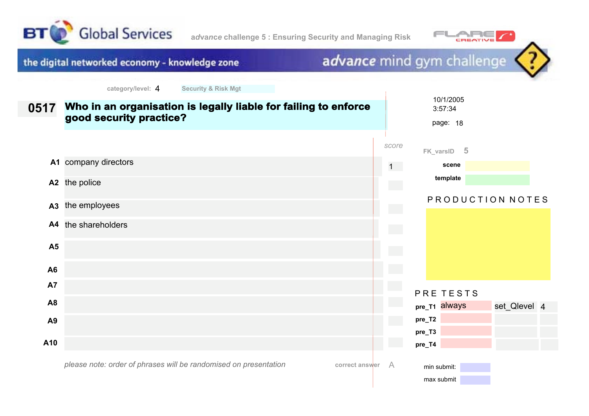



max submit

advance mind gym challenge the digital networked economy - knowledge zone **category/level:** 4 **Security & Risk Mgt** 10/1/2005 **Who in an organisation is legally liable for failing to enforce 0517** 3:57:34 **good security practice?** page: 18 *score* **FK\_varsID 5 A1** company directors 1 **scene template A2** the police PRODUCTION NOTES **A3** the employees **A4** the shareholders **A5 A6 A7** PRE TESTS **A8 pre\_T1** always set Qlevel 4 **pre\_T2 A9 pre\_T3 A10 pre\_T4** *please note: order of phrases will be randomised on presentation***correct answer** A min submit: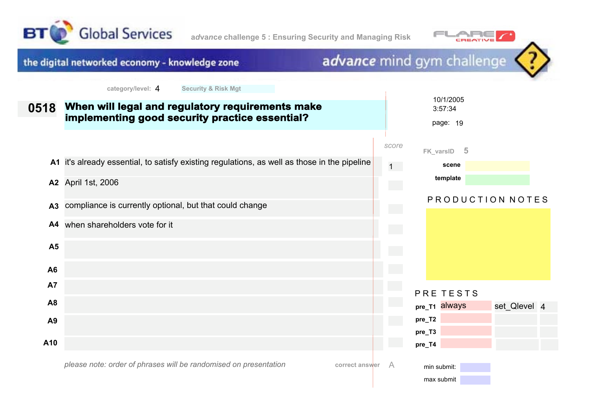





*please note: order of phrases will be randomised on presentation*

| correct answer |  |
|----------------|--|
|----------------|--|

min submit: max submit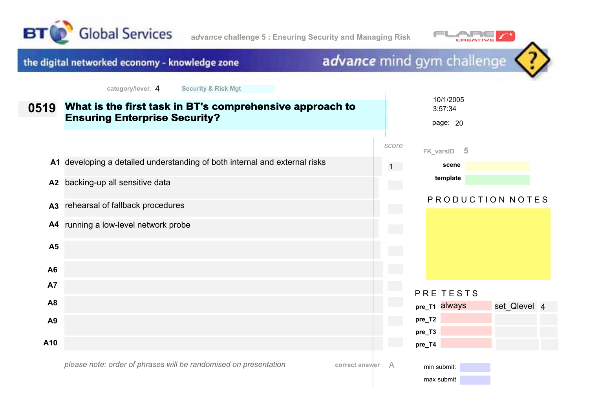





*please note: order of phrases will be randomised on presentation*

**correct answer** A

min submit: max submit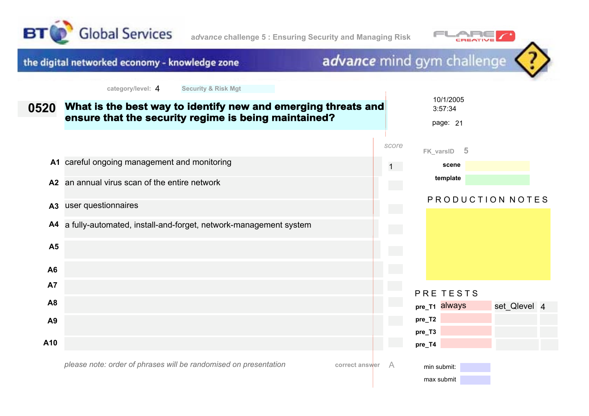





| 0520           | What is the best way to identify new and emerging threats and<br>ensure that the security regime is being maintained? |       |                  | 10/1/2005<br>3:57:34<br>page: 21 |                  |  |
|----------------|-----------------------------------------------------------------------------------------------------------------------|-------|------------------|----------------------------------|------------------|--|
|                |                                                                                                                       | score |                  | $-5$<br>FK_varsID                |                  |  |
|                | A1 careful ongoing management and monitoring                                                                          |       | $1 -$            | scene                            |                  |  |
| A2             | an annual virus scan of the entire network                                                                            |       |                  | template                         |                  |  |
| A3             | user questionnaires                                                                                                   |       |                  |                                  | PRODUCTION NOTES |  |
|                | A4 a fully-automated, install-and-forget, network-management system                                                   |       |                  |                                  |                  |  |
| <b>A5</b>      |                                                                                                                       |       |                  |                                  |                  |  |
| A6             |                                                                                                                       |       |                  |                                  |                  |  |
| <b>A7</b>      |                                                                                                                       |       |                  | PRE TESTS                        |                  |  |
| A <sub>8</sub> |                                                                                                                       |       |                  | pre_T1 always                    | set_Qlevel 4     |  |
| A9             |                                                                                                                       |       | pre_T2           |                                  |                  |  |
| A10            |                                                                                                                       |       | pre_T3<br>pre_T4 |                                  |                  |  |
|                | please note: order of phrases will be randomised on presentation<br>correct answer                                    | A     |                  | min submit:<br>max submit        |                  |  |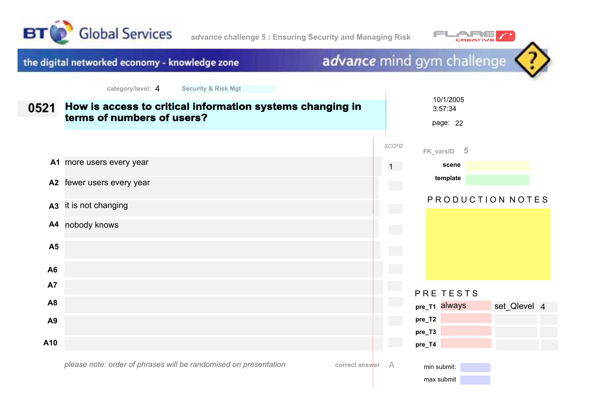



advance mind gym challenge the digital networked economy - knowledge zone **category/level:** 4 **Security & Risk Mgt** 10/1/2005 **How is access to critical information systems changing in 0521** 3:57:34 **terms of numbers of users?** page: 22 *score* **FK\_varsID 5 A1** more users every year 1 **scene template A2** fewer users every year PRODUCTION NOTES **A3** it is not changing **A4** nobody knows **A5 A6 A7** PRE TESTS **A8 pre\_T1** always set Qlevel 4 **pre\_T2 A9 pre\_T3 A10 pre\_T4 correct answer** A min submit:

*please note: order of phrases will be randomised on presentation*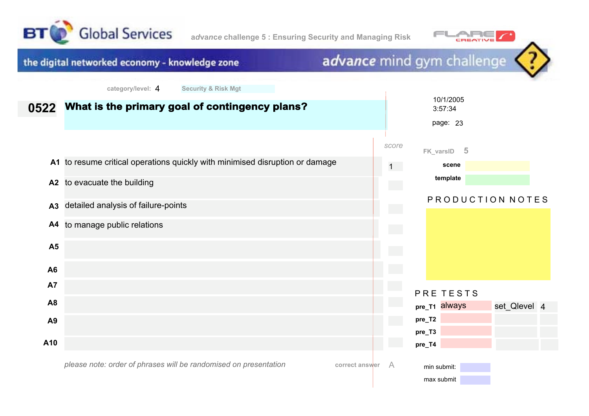

**a***d***va***n***c***e* **challenge 5 : Ensuring Security and Managing Risk**



#### advance mind gym challenge the digital networked economy - knowledge zone **category/level:** 4 **Security & Risk Mgt** 10/1/2005 **What is the primary goal of contingency plans? 0522** 3:57:34 page: 23 *score* **FK\_varsID 5 A1** to resume critical operations quickly with minimised disruption or damage **scene** 1 **template A2** to evacuate the building PRODUCTION NOTES **A3** detailed analysis of failure-points **A4** to manage public relations **A5 A6 A7** PRE TESTS **A8 pre\_T1** always set Qlevel 4 **pre\_T2 A9 pre\_T3 A10 pre\_T4** *please note: order of phrases will be randomised on presentation***correct answer** A min submit: max submit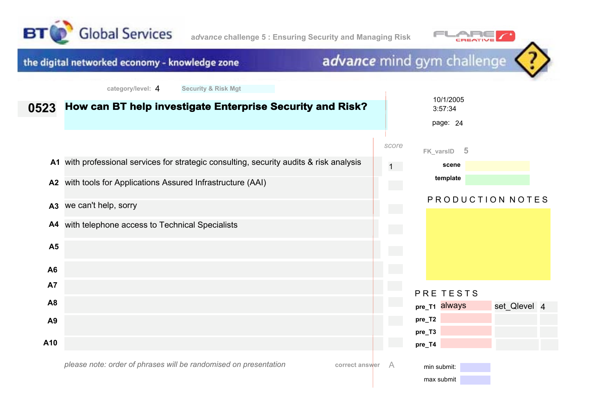



#### advance mind gym challenge the digital networked economy - knowledge zone **category/level:** 4 **Security & Risk Mgt** 10/1/2005 **How can BT help investigate Enterprise Security and Risk? 0523** 3:57:34 page: 24 *score* **FK\_varsID 5 A1** with professional services for strategic consulting, security audits & risk analysis 1 **scene template A2** with tools for Applications Assured Infrastructure (AAI) PRODUCTION NOTES **A3** we can't help, sorry **A4** with telephone access to Technical Specialists **A5 A6 A7** PRE TESTS **A8 pre\_T1** always set Qlevel 4 **pre\_T2 A9 pre\_T3 A10 pre\_T4** min submit:

*please note: order of phrases will be randomised on presentation*

**correct answer** A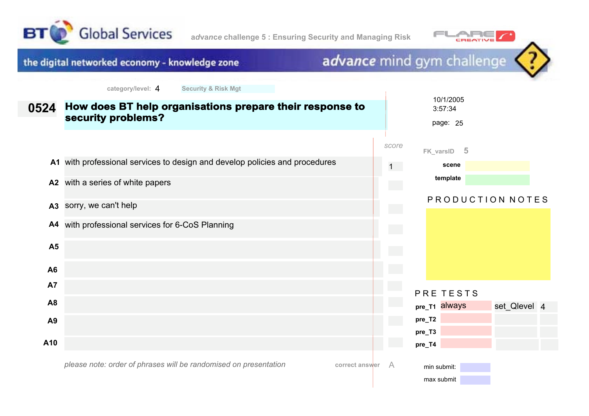

**A9**

**A10**



#### advance mind gym challenge the digital networked economy - knowledge zone **category/level:** 4 **Security & Risk Mgt** 10/1/2005 **How does BT help organisations prepare their response to 0524** 3:57:34 **security problems?** page: 25 *score* **FK\_varsID 5 A1** with professional services to design and develop policies and procedures **scene** 1 **template A2** with a series of white papers PRODUCTION NOTES **A3** sorry, we can't help **A4** with professional services for 6-CoS Planning **A5 A6 A7** PRE TESTS **A8 pre\_T1** always

**pre\_T4**

**pre\_T2 pre\_T3**

*please note: order of phrases will be randomised on presentation*

**correct answer** A

max submit

min submit:

set Qlevel 4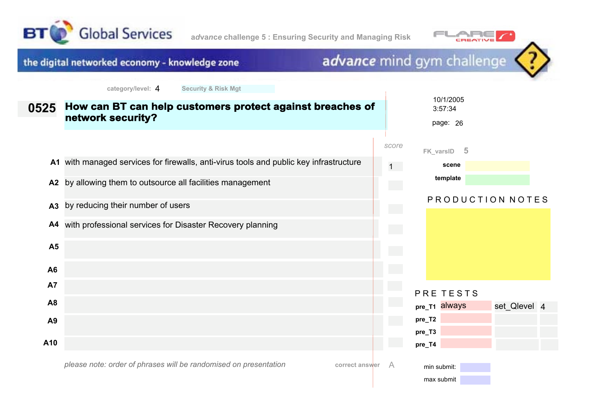





| 0525           | How can BT can help customers protect against breaches of<br>network security?         |                            | 10/1/2005<br>3:57:34<br>page: 26 |                  |  |
|----------------|----------------------------------------------------------------------------------------|----------------------------|----------------------------------|------------------|--|
|                |                                                                                        | score                      | - 5<br>FK_varsID                 |                  |  |
|                | A1 with managed services for firewalls, anti-virus tools and public key infrastructure | $1 -$                      | scene                            |                  |  |
| A2             | by allowing them to outsource all facilities management                                |                            | template                         |                  |  |
| A3             | by reducing their number of users                                                      | $\sim$                     |                                  | PRODUCTION NOTES |  |
| A4             | with professional services for Disaster Recovery planning                              | $\mathcal{L}^{\text{max}}$ |                                  |                  |  |
| <b>A5</b>      |                                                                                        | $\sim$                     |                                  |                  |  |
| A <sub>6</sub> |                                                                                        |                            |                                  |                  |  |
| <b>A7</b>      |                                                                                        |                            | PRE TESTS                        |                  |  |
| A <sub>8</sub> |                                                                                        |                            | pre_T1 always                    | set_Qlevel 4     |  |
| A9             |                                                                                        |                            | pre_T2                           |                  |  |
| A10            |                                                                                        |                            | pre_T3<br>pre_T4                 |                  |  |
|                | please note: order of phrases will be randomised on presentation<br>correct answer     | A                          | min submit:<br>max submit        |                  |  |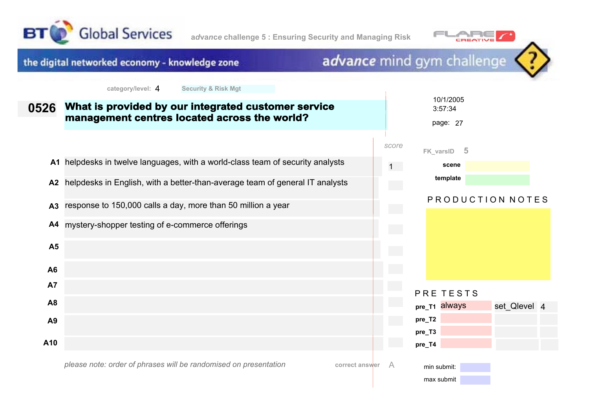





*please note: order of phrases will be randomised on presentation*

**correct answer** A

min submit: max submit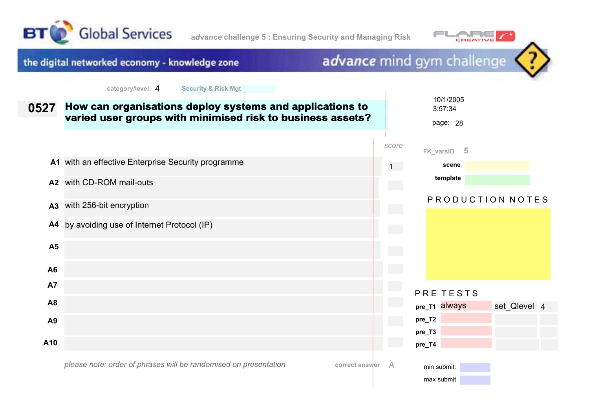

**a***d***va***n***c***e* **challenge 5 : Ensuring Security and Managing Risk**



## the digital networked economy - knowledge zone

## advance mind gym challenge

| 0527           | How can organisations deploy systems and applications to<br>varied user groups with minimised risk to business assets? |   |       | 10/1/2005<br>3:57:34<br>page: 28 |   |                  |  |
|----------------|------------------------------------------------------------------------------------------------------------------------|---|-------|----------------------------------|---|------------------|--|
|                |                                                                                                                        |   | score | FK_varsID                        | 5 |                  |  |
|                | A1 with an effective Enterprise Security programme                                                                     |   | $1 -$ | scene                            |   |                  |  |
| A2             | with CD-ROM mail-outs                                                                                                  |   |       | template                         |   |                  |  |
| A <sub>3</sub> | with 256-bit encryption                                                                                                |   |       |                                  |   | PRODUCTION NOTES |  |
| A4             | by avoiding use of Internet Protocol (IP)                                                                              |   |       |                                  |   |                  |  |
| A <sub>5</sub> |                                                                                                                        |   |       |                                  |   |                  |  |
| A6             |                                                                                                                        |   |       |                                  |   |                  |  |
| <b>A7</b>      |                                                                                                                        |   |       | PRE TESTS                        |   |                  |  |
| A8             |                                                                                                                        |   |       | pre_T1 always                    |   | set_Qlevel 4     |  |
| A9             |                                                                                                                        |   |       | pre_T2                           |   |                  |  |
| A10            |                                                                                                                        |   |       | pre_T3<br>pre_T4                 |   |                  |  |
|                | please note: order of phrases will be randomised on presentation<br>correct answer                                     | A |       | min submit:<br>max submit        |   |                  |  |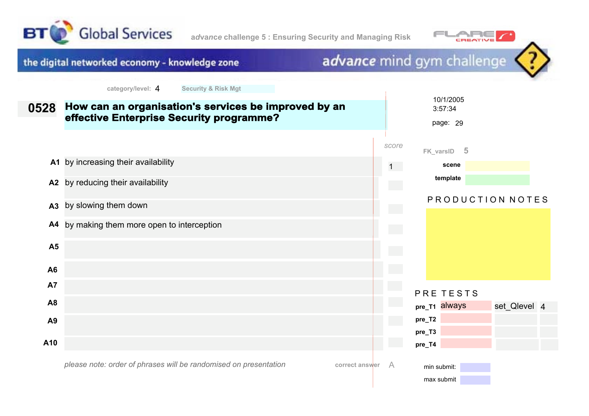



 $\overline{\phantom{a}}$ 



| 0528           | How can an organisation's services be improved by an<br>effective Enterprise Security programme? |       | 10/1/2005<br>3:57:34<br>page: 29 |                  |  |
|----------------|--------------------------------------------------------------------------------------------------|-------|----------------------------------|------------------|--|
|                |                                                                                                  | score | $-5$<br>FK_varsID                |                  |  |
|                | A1 by increasing their availability                                                              | 1     | scene                            |                  |  |
| A2             | by reducing their availability                                                                   |       | template                         |                  |  |
| A <sub>3</sub> | by slowing them down                                                                             |       |                                  | PRODUCTION NOTES |  |
| A4             | by making them more open to interception                                                         |       |                                  |                  |  |
| A <sub>5</sub> |                                                                                                  |       |                                  |                  |  |
| A <sub>6</sub> |                                                                                                  |       |                                  |                  |  |
| <b>A7</b>      |                                                                                                  |       | PRE TESTS                        |                  |  |
| A <sub>8</sub> |                                                                                                  |       | pre_T1 always                    | set_Qlevel 4     |  |
| A9             |                                                                                                  |       | pre_T2                           |                  |  |
| A10            |                                                                                                  |       | pre_T3                           |                  |  |
|                |                                                                                                  |       | pre_T4                           |                  |  |
|                | please note: order of phrases will be randomised on presentation<br>correct answer               | A     | min submit:<br>max submit        |                  |  |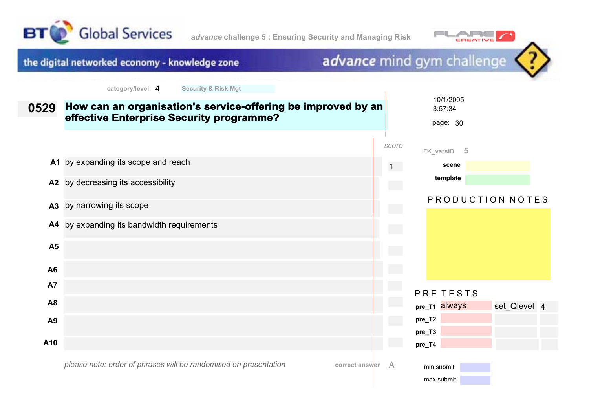



#### advance mind gym challenge the digital networked economy - knowledge zone **category/level:** 4 **Security & Risk Mgt** 10/1/2005 **How can an organisation's service-offering be improved by an 0529** 3:57:34 **effective Enterprise Security programme?** page: 30 *score* **FK\_varsID 5 A1** by expanding its scope and reach 1 **scene template A2** by decreasing its accessibility PRODUCTION NOTES **A3** by narrowing its scope **A4** by expanding its bandwidth requirements **A5 A6 A7** PRE TESTS **A8 pre\_T1** always **pre\_T2 A9 pre\_T3 A10 pre\_T4**

*please note: order of phrases will be randomised on presentation*

**correct answer** A

min submit: max submit set Qlevel 4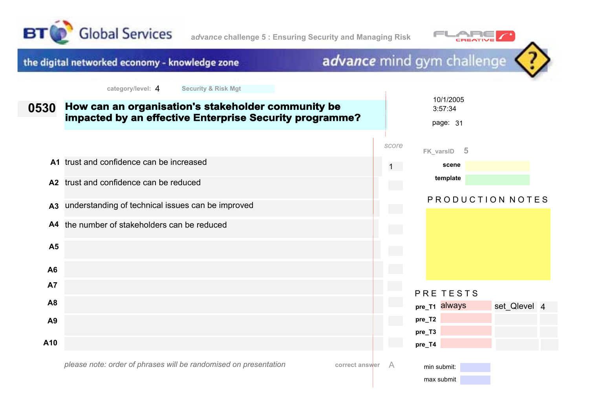



#### advance mind gym challenge the digital networked economy - knowledge zone **category/level:** 4 **Security & Risk Mgt** 10/1/2005 **How can an organisation's stakeholder community be 0530** 3:57:34 **impacted by an effective Enterprise Security programme?** page: 31 *score* **FK\_varsID 5 A1** trust and confidence can be increased **scene** 1 **template A2** trust and confidence can be reduced P R O D U C T I O N N O T E S **A3** understanding of technical issues can be improved **A4** the number of stakeholders can be reduced **A5 A6 A7** PRE TESTS **A8 pre\_T1** always set Qlevel 4 **pre\_T2 A9 pre\_T3 A10 pre\_T4**

*please note: order of phrases will be randomised on presentation*

**correct answer** A

min submit: max submit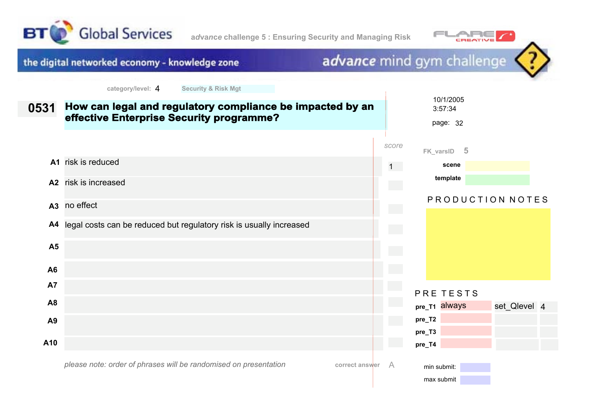



#### advance mind gym challenge the digital networked economy - knowledge zone **category/level:** 4 **Security & Risk Mgt** 10/1/2005 **How can legal and regulatory compliance be impacted by an 0531** 3:57:34 **effective Enterprise Security programme?** page: 32 *score* **FK\_varsID 5 A1** risk is reduced 1 **scene template A2** risk is increased PRODUCTION NOTES **A3** no effect **A4** legal costs can be reduced but regulatory risk is usually increased **A5 A6 A7** PRE TESTS **A8 pre\_T1** always set Qlevel 4 **pre\_T2 A9 pre\_T3 A10 pre\_T4** min submit:

*please note: order of phrases will be randomised on presentation*

**correct answer** A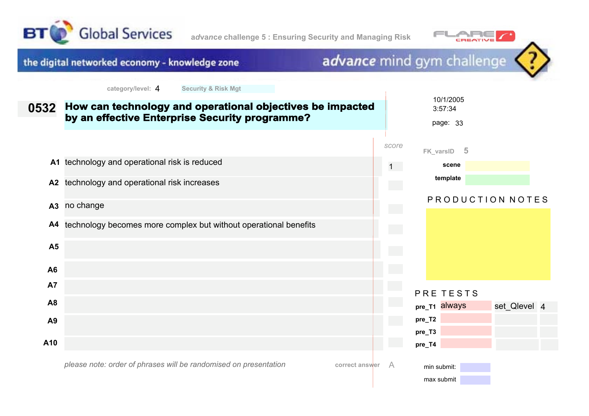



 $\overline{\phantom{a}}$ 

## the digital networked economy - knowledge zone

| 0532           | How can technology and operational objectives be impacted<br>by an effective Enterprise Security programme? |           | 10/1/2005<br>3:57:34<br>page: 33 |                  |  |
|----------------|-------------------------------------------------------------------------------------------------------------|-----------|----------------------------------|------------------|--|
|                |                                                                                                             | score     | - 5<br>FK_varsID                 |                  |  |
|                | A1 technology and operational risk is reduced                                                               | $1 \quad$ | scene                            |                  |  |
| A2             | technology and operational risk increases                                                                   |           | template                         |                  |  |
| A3             | no change                                                                                                   |           |                                  | PRODUCTION NOTES |  |
| A4             | technology becomes more complex but without operational benefits                                            |           |                                  |                  |  |
| A <sub>5</sub> |                                                                                                             |           |                                  |                  |  |
| A6             |                                                                                                             |           |                                  |                  |  |
| <b>A7</b>      |                                                                                                             |           | PRE TESTS                        |                  |  |
| A <sub>8</sub> |                                                                                                             |           | pre_T1 always                    | set_Qlevel 4     |  |
| A9             |                                                                                                             |           | pre_T2                           |                  |  |
|                |                                                                                                             |           | pre_T3                           |                  |  |
| A10            |                                                                                                             |           | pre_T4                           |                  |  |
|                | please note: order of phrases will be randomised on presentation<br>correct answer                          | $\forall$ | min submit:<br>max submit        |                  |  |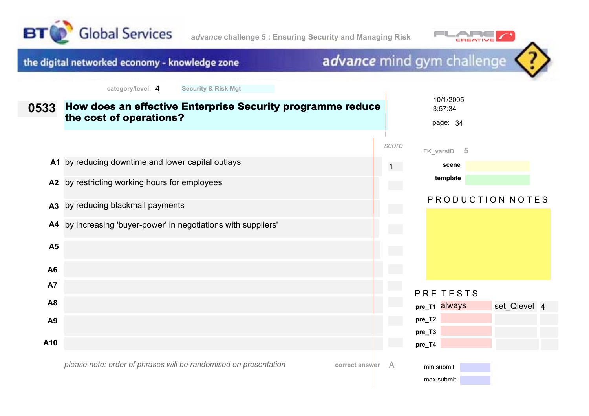



#### advance mind gym challenge the digital networked economy - knowledge zone **category/level:** 4 **Security & Risk Mgt** 10/1/2005 **How does an effective Enterprise Security programme reduce 0533** 3:57:34 **the cost of operations?** page: 34 *score* **FK\_varsID 5 A1** by reducing downtime and lower capital outlays **scene** 1 **template A2** by restricting working hours for employees PRODUCTION NOTES **A3** by reducing blackmail payments **A4** by increasing 'buyer-power' in negotiations with suppliers' **A5 A6 A7** PRE TESTS **A8 pre\_T1** always **pre\_T2 A9 pre\_T3 A10 pre\_T4**

*please note: order of phrases will be randomised on presentation*

**correct answer** A

min submit: max submit set Qlevel 4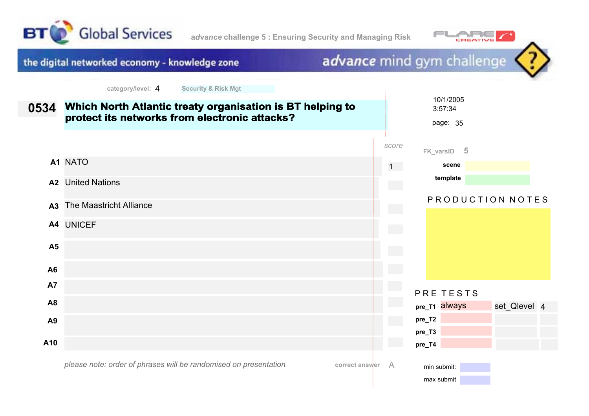

**a***d***va***n***c***e* **challenge 5 : Ensuring Security and Managing Risk**



advance mind gym challenge

the digital networked economy - knowledge zone

|                | $v$ ulvyviyilvyvii $T$<br>$\sim$                                                                           |                             |                                  |
|----------------|------------------------------------------------------------------------------------------------------------|-----------------------------|----------------------------------|
| 0534           | Which North Atlantic treaty organisation is BT helping to<br>protect its networks from electronic attacks? |                             | 10/1/2005<br>3:57:34<br>page: 35 |
|                |                                                                                                            | score                       | FK_varsID 5                      |
|                | A1 NATO                                                                                                    | 1                           | scene                            |
|                | <b>A2</b> United Nations                                                                                   | $\mathcal{L}^{\text{max}}$  | template                         |
| A <sub>3</sub> | The Maastricht Alliance                                                                                    | $\mathcal{L}^{\mathcal{L}}$ | PRODUCTION NOTES                 |
|                | A4 UNICEF                                                                                                  | $\mathcal{L}^{\text{max}}$  |                                  |
| <b>A5</b>      |                                                                                                            |                             |                                  |
| A <sub>6</sub> |                                                                                                            |                             |                                  |
| A7             |                                                                                                            |                             | PRE TESTS                        |
| A <sub>8</sub> |                                                                                                            |                             | pre_T1 always<br>set_Qlevel 4    |
| A <sub>9</sub> |                                                                                                            | $\mathcal{L}^{\text{max}}$  | pre_T2                           |
| A10            |                                                                                                            |                             | pre_T3<br>pre_T4                 |
|                | please note: order of phrases will be randomised on presentation<br>correct answer                         | A                           | min submit:<br>max submit        |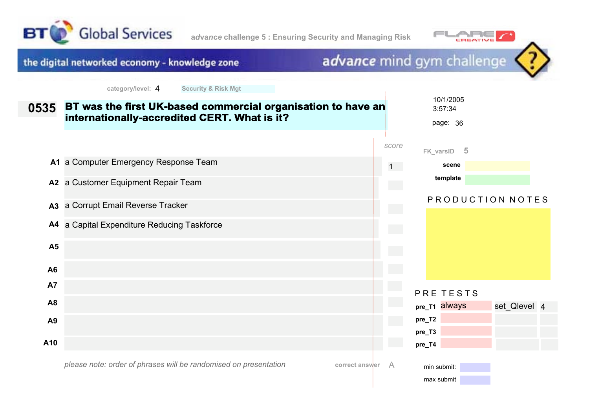



 $\overline{1}$ 



| 0535           | BT was the first UK-based commercial organisation to have an<br>internationally-accredited CERT. What is it? |       | 10/1/2005<br>3:57:34<br>page: 36    |
|----------------|--------------------------------------------------------------------------------------------------------------|-------|-------------------------------------|
|                |                                                                                                              | score | FK_varsID 5                         |
|                | A1 a Computer Emergency Response Team                                                                        | 1     | scene                               |
| A2             | a Customer Equipment Repair Team                                                                             |       | template                            |
| A <sub>3</sub> | a Corrupt Email Reverse Tracker                                                                              | e en  | PRODUCTION NOTES                    |
| A4             | a Capital Expenditure Reducing Taskforce                                                                     |       |                                     |
| A <sub>5</sub> |                                                                                                              |       |                                     |
| A <sub>6</sub> |                                                                                                              |       |                                     |
| <b>A7</b>      |                                                                                                              |       | PRE TESTS                           |
| A <sub>8</sub> |                                                                                                              |       | pre_T1 always<br>set_Qlevel 4       |
| A <sub>9</sub> |                                                                                                              |       | pre_T2                              |
| A10            |                                                                                                              |       | pre_T3                              |
|                | please note: order of phrases will be randomised on presentation<br>correct answer                           | A     | pre_T4<br>min submit:<br>max submit |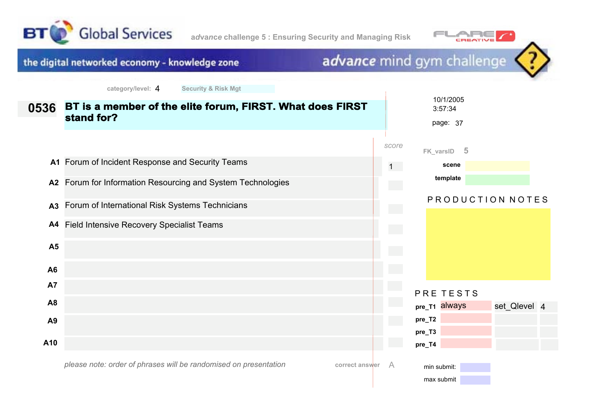





|                | <b>OCOMING OF INDIA INDIA</b>                                                      |       |                                  |                  |  |
|----------------|------------------------------------------------------------------------------------|-------|----------------------------------|------------------|--|
| 0536           | BT is a member of the elite forum, FIRST. What does FIRST<br>stand for?            |       | 10/1/2005<br>3:57:34<br>page: 37 |                  |  |
|                |                                                                                    | score | - 5<br>FK_varsID                 |                  |  |
|                | A1 Forum of Incident Response and Security Teams                                   | $1 -$ | scene                            |                  |  |
|                | A2 Forum for Information Resourcing and System Technologies                        |       | template                         |                  |  |
| A3             | Forum of International Risk Systems Technicians                                    |       |                                  | PRODUCTION NOTES |  |
| A4             | <b>Field Intensive Recovery Specialist Teams</b>                                   |       |                                  |                  |  |
| <b>A5</b>      |                                                                                    |       |                                  |                  |  |
| A <sub>6</sub> |                                                                                    |       |                                  |                  |  |
| A7             |                                                                                    |       | PRE TESTS                        |                  |  |
| A8             |                                                                                    |       | pre_T1 always                    | set_Qlevel 4     |  |
| A <sub>9</sub> |                                                                                    |       | pre_T2                           |                  |  |
| A10            |                                                                                    |       | pre_T3<br>pre_T4                 |                  |  |
|                | please note: order of phrases will be randomised on presentation<br>correct answer | A     | min submit:<br>max submit        |                  |  |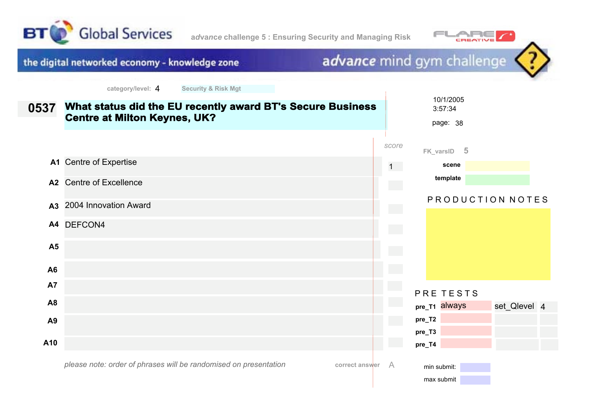





 $\overline{\phantom{a}}$ 

| 0537           | What status did the EU recently award BT's Secure Business<br><b>Centre at Milton Keynes, UK?</b> |                                        | 10/1/2005<br>3:57:34<br>page: 38 |                  |  |
|----------------|---------------------------------------------------------------------------------------------------|----------------------------------------|----------------------------------|------------------|--|
|                |                                                                                                   | score                                  | FK_varsID 5                      |                  |  |
|                | A1 Centre of Expertise                                                                            | 1                                      | scene                            |                  |  |
| A2             | <b>Centre of Excellence</b>                                                                       | $\mathcal{L}^{\text{max}}$             | template                         |                  |  |
| A <sub>3</sub> | 2004 Innovation Award                                                                             |                                        |                                  | PRODUCTION NOTES |  |
|                | A4 DEFCON4                                                                                        | $\mathcal{O}(\mathcal{O}_\mathcal{O})$ |                                  |                  |  |
| A <sub>5</sub> |                                                                                                   |                                        |                                  |                  |  |
| A6             |                                                                                                   |                                        |                                  |                  |  |
| <b>A7</b>      |                                                                                                   |                                        | PRE TESTS                        |                  |  |
| A8             |                                                                                                   |                                        | pre_T1 always                    | set_Qlevel 4     |  |
| A9             |                                                                                                   |                                        | pre_T2                           |                  |  |
|                |                                                                                                   |                                        | pre_T3                           |                  |  |
| A10            |                                                                                                   |                                        | pre_T4                           |                  |  |
|                | please note: order of phrases will be randomised on presentation<br>correct answer                | $\overline{A}$                         | min submit:<br>max submit        |                  |  |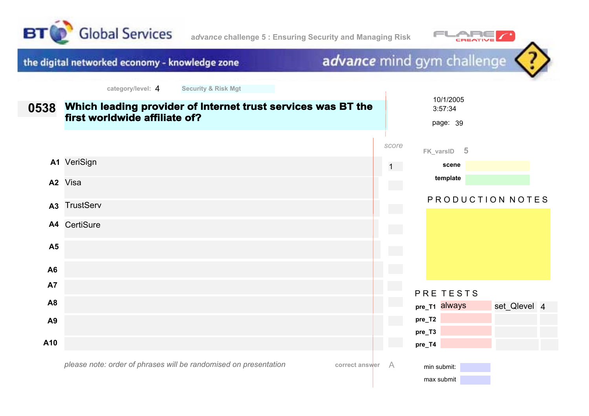





 $\overline{\phantom{a}}$ 

| 0538           | Which leading provider of Internet trust services was BT the<br>first worldwide affiliate of? |       |                            | 10/1/2005<br>3:57:34<br>page: 39 |                  |  |
|----------------|-----------------------------------------------------------------------------------------------|-------|----------------------------|----------------------------------|------------------|--|
|                |                                                                                               | score |                            | FK_varsID 5                      |                  |  |
|                | A1 VeriSign                                                                                   |       | $1 -$                      | scene                            |                  |  |
|                | A <sub>2</sub> Visa                                                                           |       | e en                       | template                         |                  |  |
| A3             | <b>TrustServ</b>                                                                              |       | $\mathcal{L}^{\text{max}}$ |                                  | PRODUCTION NOTES |  |
|                | A4 CertiSure                                                                                  |       | and a                      |                                  |                  |  |
| A <sub>5</sub> |                                                                                               |       |                            |                                  |                  |  |
| A <sub>6</sub> |                                                                                               |       |                            |                                  |                  |  |
| <b>A7</b>      |                                                                                               |       |                            | PRE TESTS                        |                  |  |
| A <sub>8</sub> |                                                                                               |       |                            | pre_T1 always                    | set_Qlevel 4     |  |
| A <sub>9</sub> |                                                                                               |       | pre_T2                     |                                  |                  |  |
|                |                                                                                               |       | pre_T3                     |                                  |                  |  |
| A10            |                                                                                               |       | pre_T4                     |                                  |                  |  |
|                | please note: order of phrases will be randomised on presentation<br>correct answer            | A     |                            | min submit:<br>max submit        |                  |  |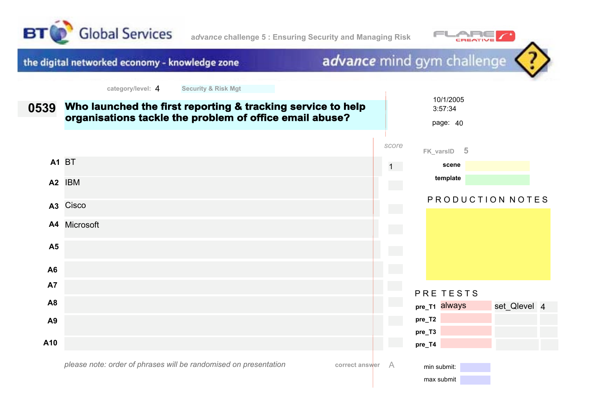





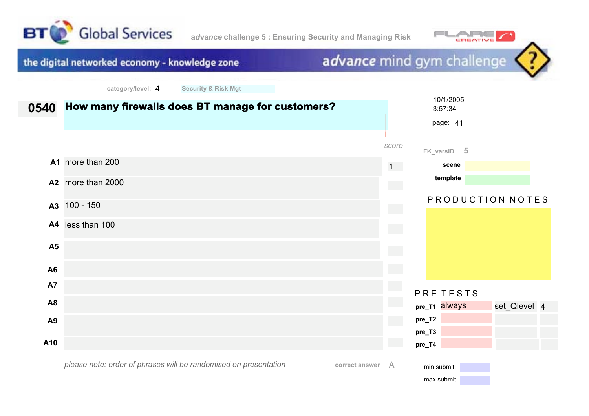



max submit

advance mind gym challenge the digital networked economy - knowledge zone **category/level:** 4 **Security & Risk Mgt** 10/1/2005 **How many firewalls does BT manage for customers? 0540** 3:57:34 page: 41 *score* **FK\_varsID 5 A1** more than 200 1 **scene template A2** more than 2000 PRODUCTION NOTES **A3** 100 - 150 **A4** less than 100 **A5 A6 A7** PRE TESTS **A8 pre\_T1** always set Qlevel 4 **pre\_T2 A9 pre\_T3 A10 pre\_T4** *please note: order of phrases will be randomised on presentation***correct answer** A min submit: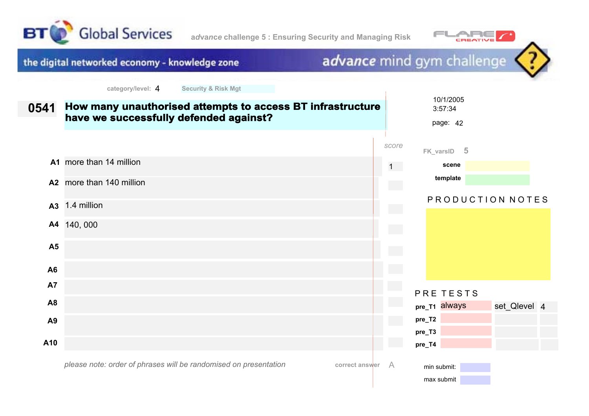





|                | $V = -190V + 190V$<br><b>OCOMING OF INDIA INDIA</b>                                                  |                            |                                  |                  |
|----------------|------------------------------------------------------------------------------------------------------|----------------------------|----------------------------------|------------------|
| 0541           | How many unauthorised attempts to access BT infrastructure<br>have we successfully defended against? |                            | 10/1/2005<br>3:57:34<br>page: 42 |                  |
|                |                                                                                                      | score                      | FK_varsID 5                      |                  |
|                | A1 more than 14 million                                                                              | 1                          | scene                            |                  |
|                | A2 more than 140 million                                                                             | $\mathcal{L}^{\text{max}}$ | template                         |                  |
| A3             | 1.4 million                                                                                          | $\sim$                     |                                  | PRODUCTION NOTES |
|                | A4 140, 000                                                                                          |                            |                                  |                  |
| A <sub>5</sub> |                                                                                                      |                            |                                  |                  |
| A <sub>6</sub> |                                                                                                      |                            |                                  |                  |
| A7             |                                                                                                      |                            | PRE TESTS                        |                  |
| A8             |                                                                                                      |                            | pre_T1 always                    | set_Qlevel 4     |
| A <sub>9</sub> |                                                                                                      |                            | pre_T2                           |                  |
|                |                                                                                                      |                            | pre_T3                           |                  |
| A10            |                                                                                                      | $\sim$                     | pre_T4                           |                  |
|                | please note: order of phrases will be randomised on presentation<br>correct answer                   | A                          | min submit:<br>max submit        |                  |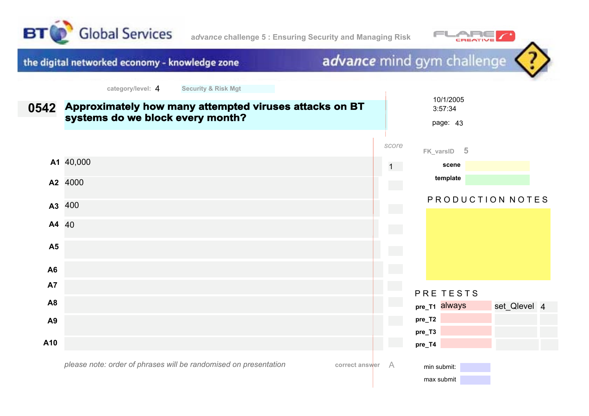



max submit

advance mind gym challenge the digital networked economy - knowledge zone **category/level:** 4 **Security & Risk Mgt** 10/1/2005 **Approximately how many attempted viruses attacks on BT 0542** 3:57:34 **systems do we block every month?** page: 43 *score* **FK\_varsID 5 A1** 40,000 1 **scene template A2** 4000 PRODUCTION NOTES **A3** 400 **A4** 40 **A5 A6 A7** PRE TESTS **A8 pre\_T1** always set Qlevel 4 **pre\_T2 A9 pre\_T3 A10 pre\_T4** *please note: order of phrases will be randomised on presentation***correct answer** A min submit: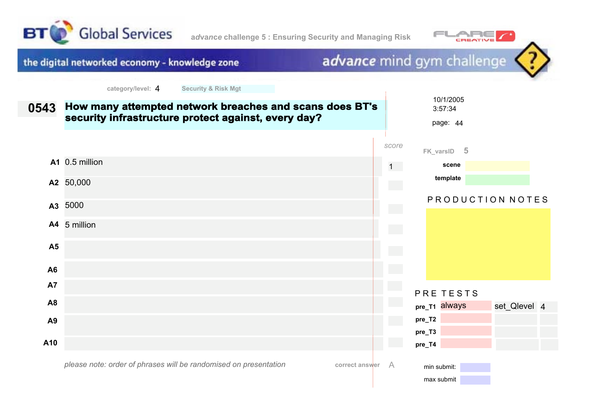





| 0543           | How many attempted network breaches and scans does BT's<br>security infrastructure protect against, every day? |        | 10/1/2005<br>3:57:34<br>page: 44 |                  |  |
|----------------|----------------------------------------------------------------------------------------------------------------|--------|----------------------------------|------------------|--|
|                |                                                                                                                | score  | FK_varsID 5                      |                  |  |
|                | A1 0.5 million                                                                                                 | $1 -$  | scene                            |                  |  |
|                | A2 50,000                                                                                                      |        | template                         |                  |  |
|                | A3 5000                                                                                                        |        |                                  | PRODUCTION NOTES |  |
|                | A4 5 million                                                                                                   | $\sim$ |                                  |                  |  |
| A <sub>5</sub> |                                                                                                                | e e    |                                  |                  |  |
| A <sub>6</sub> |                                                                                                                |        |                                  |                  |  |
| <b>A7</b>      |                                                                                                                |        | PRE TESTS                        |                  |  |
| A <sub>8</sub> |                                                                                                                |        | pre_T1 always                    | set_Qlevel 4     |  |
| A <sub>9</sub> |                                                                                                                |        | pre_T2                           |                  |  |
|                |                                                                                                                |        | pre_T3                           |                  |  |
| A10            |                                                                                                                |        | pre_T4                           |                  |  |
|                | please note: order of phrases will be randomised on presentation<br>correct answer                             | A      | min submit:<br>max submit        |                  |  |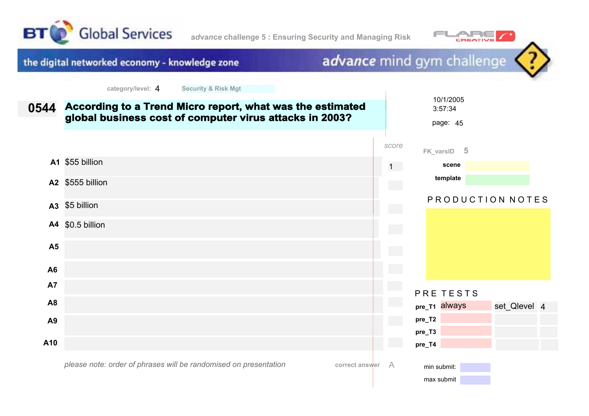





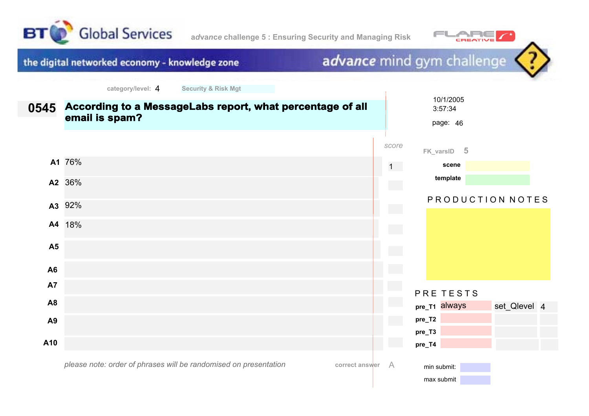



# advance mind gym challenge

| 0545           | According to a MessageLabs report, what percentage of all<br>email is spam?        |                 | 10/1/2005<br>3:57:34<br>page: 46 |
|----------------|------------------------------------------------------------------------------------|-----------------|----------------------------------|
|                |                                                                                    | score           | FK_varsID 5                      |
|                | A1 76%                                                                             | $1 -$           | scene                            |
|                | A2 36%                                                                             | <b>Contract</b> | template                         |
|                | A3 92%                                                                             | <b>College</b>  | PRODUCTION NOTES                 |
|                | A4 18%                                                                             | <b>College</b>  |                                  |
| A <sub>5</sub> |                                                                                    |                 |                                  |
| A <sub>6</sub> |                                                                                    |                 |                                  |
| <b>A7</b>      |                                                                                    | e en            | PRE TESTS                        |
| A <sub>8</sub> |                                                                                    |                 | pre_T1 always<br>set_Qlevel 4    |
| A9             |                                                                                    |                 | pre_T2                           |
| A10            |                                                                                    |                 | pre_T3<br>pre_T4                 |
|                | please note: order of phrases will be randomised on presentation<br>correct answer | A               | min submit:<br>max submit        |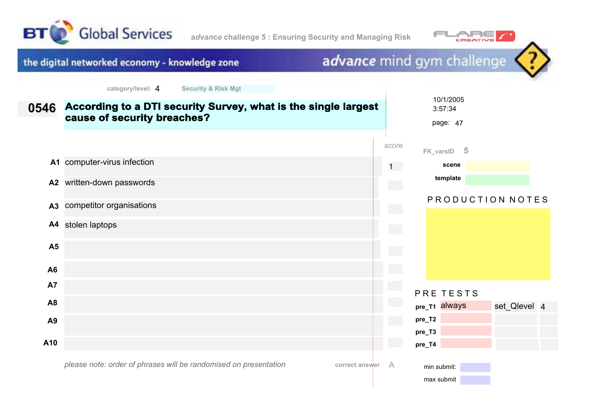





| 0546           | According to a DTI security Survey, what is the single largest<br>cause of security breaches? |                | 10/1/2005<br>3:57:34<br>page: 47 |  |
|----------------|-----------------------------------------------------------------------------------------------|----------------|----------------------------------|--|
|                |                                                                                               | score          | $-5$<br>FK_varsID                |  |
|                | A1 computer-virus infection                                                                   | $1 -$          | scene                            |  |
| A2             | written-down passwords                                                                        |                | template                         |  |
| A3             | competitor organisations                                                                      | $\sim$         | PRODUCTION NOTES                 |  |
| A4             | stolen laptops                                                                                | <b>College</b> |                                  |  |
| A <sub>5</sub> |                                                                                               |                |                                  |  |
| A <sub>6</sub> |                                                                                               |                |                                  |  |
| <b>A7</b>      |                                                                                               |                | PRE TESTS                        |  |
| A <sub>8</sub> |                                                                                               |                | pre_T1 always<br>set_Qlevel 4    |  |
| A9             |                                                                                               |                | pre_T2                           |  |
| A10            |                                                                                               |                | pre_T3<br>pre_T4                 |  |
|                | please note: order of phrases will be randomised on presentation<br>correct answer            | A              | min submit:<br>max submit        |  |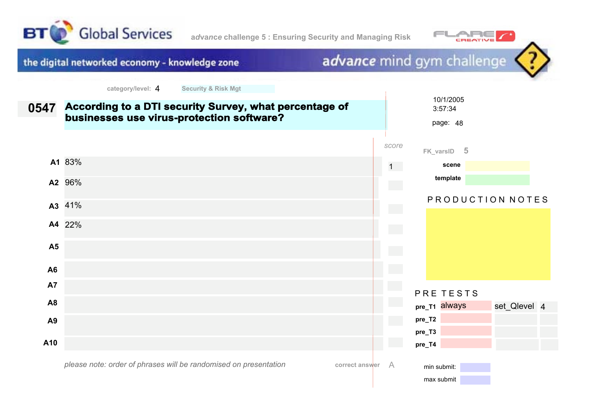



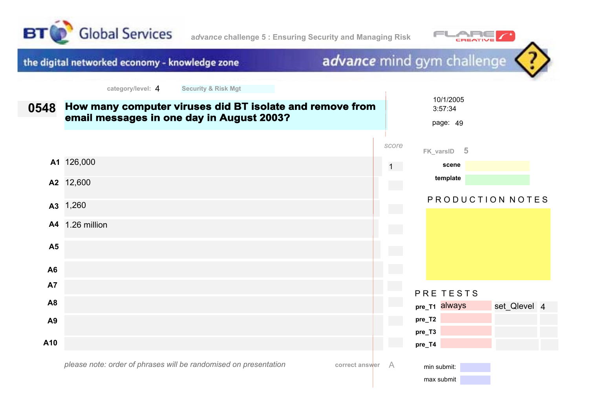



advance mind gym challenge the digital networked economy - knowledge zone **category/level:** 4 **Security & Risk Mgt** 10/1/2005 **How many computer viruses did BT isolate and remove from 0548** 3:57:34 **email messages in one day in August 2003?** page: 49 *score* **FK\_varsID 5 A1** 126,000 1 **scene template A2** 12,600 PRODUCTION NOTES **A3** 1,260 **A4** 1.26 million **A5 A6 A7** PRE TESTS **A8 pre\_T1** always set Qlevel 4 **pre\_T2 A9 pre\_T3 A10 pre\_T4** *please note: order of phrases will be randomised on presentation***correct answer** A min submit: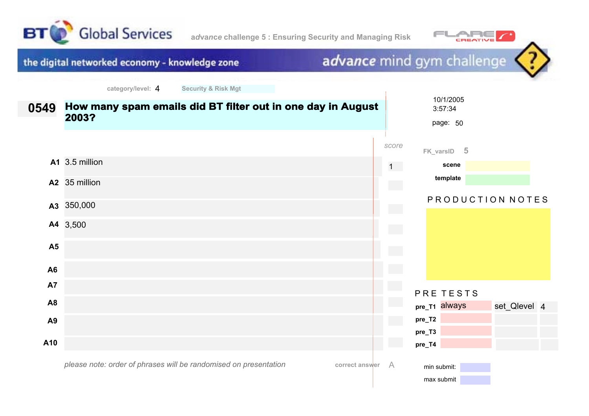



## advance mind gym challenge

 $\overline{\phantom{a}}$ 

| 0549           | How many spam emails did BT filter out in one day in August<br>2003?               |                            | 10/1/2005<br>3:57:34<br>page: 50 |                  |  |
|----------------|------------------------------------------------------------------------------------|----------------------------|----------------------------------|------------------|--|
|                |                                                                                    | score                      | FK_varsID 5                      |                  |  |
|                | A1 3.5 million                                                                     | $1 -$                      | scene                            |                  |  |
|                | A2 35 million                                                                      | $\mathcal{L}^{\text{max}}$ | template                         |                  |  |
|                | A3 350,000                                                                         |                            |                                  | PRODUCTION NOTES |  |
|                | A4 3,500                                                                           | $\mathcal{L}^{\text{max}}$ |                                  |                  |  |
| A <sub>5</sub> |                                                                                    |                            |                                  |                  |  |
| A <sub>6</sub> |                                                                                    |                            |                                  |                  |  |
| A7             |                                                                                    |                            | PRE TESTS                        |                  |  |
| A <sub>8</sub> |                                                                                    |                            | pre_T1 always                    | set_Qlevel 4     |  |
| A <sub>9</sub> |                                                                                    |                            | pre_T2                           |                  |  |
|                |                                                                                    |                            | pre_T3                           |                  |  |
| A10            |                                                                                    |                            | pre_T4                           |                  |  |
|                | please note: order of phrases will be randomised on presentation<br>correct answer | A                          | min submit:<br>max submit        |                  |  |